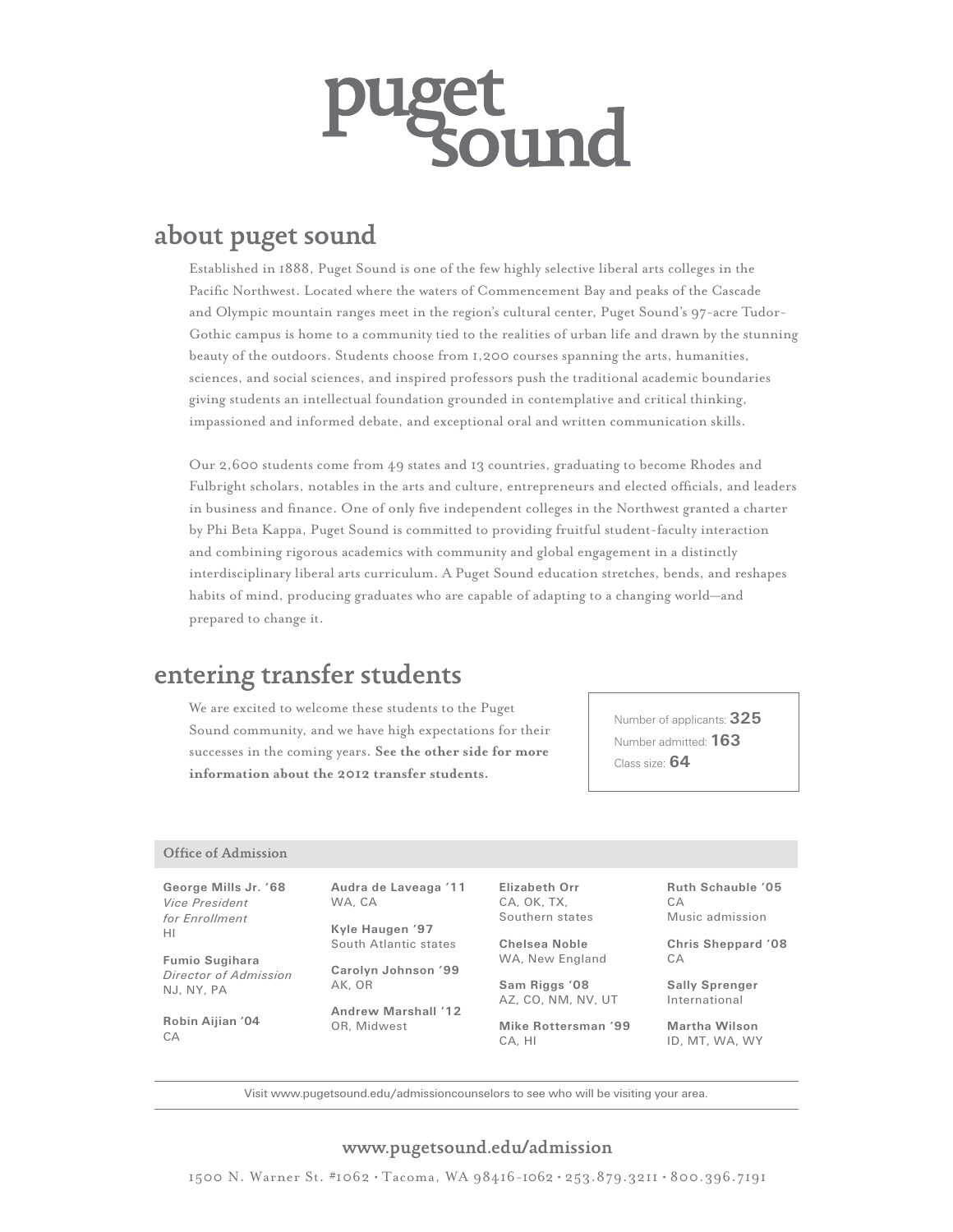# zer<br>kound

# about puget sound

Established in 1888, Puget Sound is one of the few highly selective liberal arts colleges in the Pacific Northwest. Located where the waters of Commencement Bay and peaks of the Cascade and Olympic mountain ranges meet in the region's cultural center, Puget Sound's 97-acre Tudor-Gothic campus is home to a community tied to the realities of urban life and drawn by the stunning beauty of the outdoors. Students choose from 1,200 courses spanning the arts, humanities, sciences, and social sciences, and inspired professors push the traditional academic boundaries giving students an intellectual foundation grounded in contemplative and critical thinking, impassioned and informed debate, and exceptional oral and written communication skills.

Our 2,600 students come from 49 states and 13 countries, graduating to become Rhodes and Fulbright scholars, notables in the arts and culture, entrepreneurs and elected officials, and leaders in business and finance. One of only five independent colleges in the Northwest granted a charter by Phi Beta Kappa, Puget Sound is committed to providing fruitful student-faculty interaction and combining rigorous academics with community and global engagement in a distinctly interdisciplinary liberal arts curriculum. A Puget Sound education stretches, bends, and reshapes habits of mind, producing graduates who are capable of adapting to a changing world—and prepared to change it.

# entering transfer students

We are excited to welcome these students to the Puget Sound community, and we have high expectations for their successes in the coming years. **See the other side for more information about the 2012 transfer students.**

Number of applicants: **325** Number admitted: **163** Class size: **64**

## Office of Admission

**George Mills Jr. '68** *Vice President for Enrollment* HI

**Fumio Sugihara** *Director of Admission* NJ, NY, PA

**Robin Aijian '04** CA

**Audra de Laveaga '11** WA, CA

**Kyle Haugen '97** South Atlantic states

**Carolyn Johnson '99** AK, OR

**Andrew Marshall '12** OR, Midwest

**Elizabeth Orr** CA, OK, TX, Southern states

**Chelsea Noble** WA, New England

**Sam Riggs '08** AZ, CO, NM, NV, UT

**Mike Rottersman '99** CA, HI

**Ruth Schauble '05**  $C \triangle$ Music admission

**Chris Sheppard '08**  $C.A$ 

**Sally Sprenger** International

**Martha Wilson** ID, MT, WA, WY

Visit www.pugetsound.edu/admissioncounselors to see who will be visiting your area.

## www.pugetsound.edu/admission